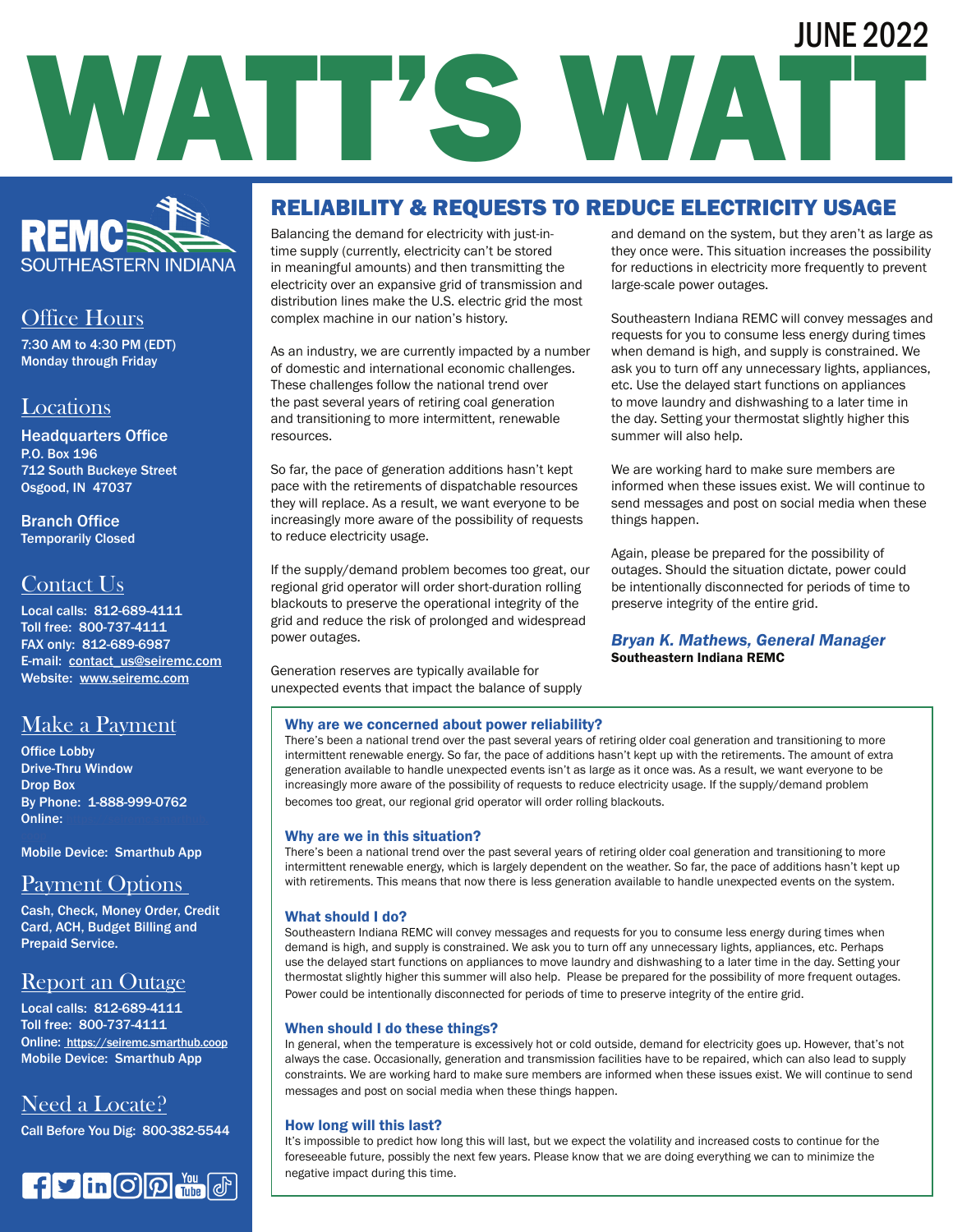# WATT'S WATT JUNE 2022



## Office Hours

7:30 AM to 4:30 PM (EDT) Monday through Friday

### Locations

Headquarters Office P.O. Box 196 712 South Buckeye Street Osgood, IN 47037

Branch Office Temporarily Closed

## Contact Us

Local calls: 812-689-4111 Toll free: 800-737-4111 FAX only: 812-689-6987 E-mail: contact\_us@seiremc.com Website: www.seiremc.com

## Make a Payment

Office Lobby Drive-Thru Window Drop Box By Phone: 1-888-999-0762 **Online:** 

Mobile Device: Smarthub App

## Payment Options

Cash, Check, Money Order, Credit Card, ACH, Budget Billing and Prepaid Service.

## Report an Outage

Local calls: 812-689-4111 Toll free: 800-737-4111 Online: https://seiremc.smarthub.coop Mobile Device: Smarthub App

## Need a Locate?

Call Before You Dig: 800-382-5544



## RELIABILITY & REQUESTS TO REDUCE ELECTRICITY USAGE

Balancing the demand for electricity with just-intime supply (currently, electricity can't be stored in meaningful amounts) and then transmitting the electricity over an expansive grid of transmission and distribution lines make the U.S. electric grid the most complex machine in our nation's history.

As an industry, we are currently impacted by a number of domestic and international economic challenges. These challenges follow the national trend over the past several years of retiring coal generation and transitioning to more intermittent, renewable resources.

So far, the pace of generation additions hasn't kept pace with the retirements of dispatchable resources they will replace. As a result, we want everyone to be increasingly more aware of the possibility of requests to reduce electricity usage.

If the supply/demand problem becomes too great, our regional grid operator will order short-duration rolling blackouts to preserve the operational integrity of the grid and reduce the risk of prolonged and widespread power outages.

Generation reserves are typically available for unexpected events that impact the balance of supply and demand on the system, but they aren't as large as they once were. This situation increases the possibility for reductions in electricity more frequently to prevent large-scale power outages.

Southeastern Indiana REMC will convey messages and requests for you to consume less energy during times when demand is high, and supply is constrained. We ask you to turn off any unnecessary lights, appliances, etc. Use the delayed start functions on appliances to move laundry and dishwashing to a later time in the day. Setting your thermostat slightly higher this summer will also help.

We are working hard to make sure members are informed when these issues exist. We will continue to send messages and post on social media when these things happen.

Again, please be prepared for the possibility of outages. Should the situation dictate, power could be intentionally disconnected for periods of time to preserve integrity of the entire grid.

#### *Bryan K. Mathews, General Manager*  Southeastern Indiana REMC

#### Why are we concerned about power reliability?

There's been a national trend over the past several years of retiring older coal generation and transitioning to more intermittent renewable energy. So far, the pace of additions hasn't kept up with the retirements. The amount of extra generation available to handle unexpected events isn't as large as it once was. As a result, we want everyone to be increasingly more aware of the possibility of requests to reduce electricity usage. If the supply/demand problem becomes too great, our regional grid operator will order rolling blackouts.

#### Why are we in this situation?

There's been a national trend over the past several years of retiring older coal generation and transitioning to more intermittent renewable energy, which is largely dependent on the weather. So far, the pace of additions hasn't kept up with retirements. This means that now there is less generation available to handle unexpected events on the system.

#### What should I do?

Southeastern Indiana REMC will convey messages and requests for you to consume less energy during times when demand is high, and supply is constrained. We ask you to turn off any unnecessary lights, appliances, etc. Perhaps use the delayed start functions on appliances to move laundry and dishwashing to a later time in the day. Setting your thermostat slightly higher this summer will also help. Please be prepared for the possibility of more frequent outages. Power could be intentionally disconnected for periods of time to preserve integrity of the entire grid.

#### When should I do these things?

In general, when the temperature is excessively hot or cold outside, demand for electricity goes up. However, that's not always the case. Occasionally, generation and transmission facilities have to be repaired, which can also lead to supply constraints. We are working hard to make sure members are informed when these issues exist. We will continue to send messages and post on social media when these things happen.

#### How long will this last?

It's impossible to predict how long this will last, but we expect the volatility and increased costs to continue for the foreseeable future, possibly the next few years. Please know that we are doing everything we can to minimize the negative impact during this time.